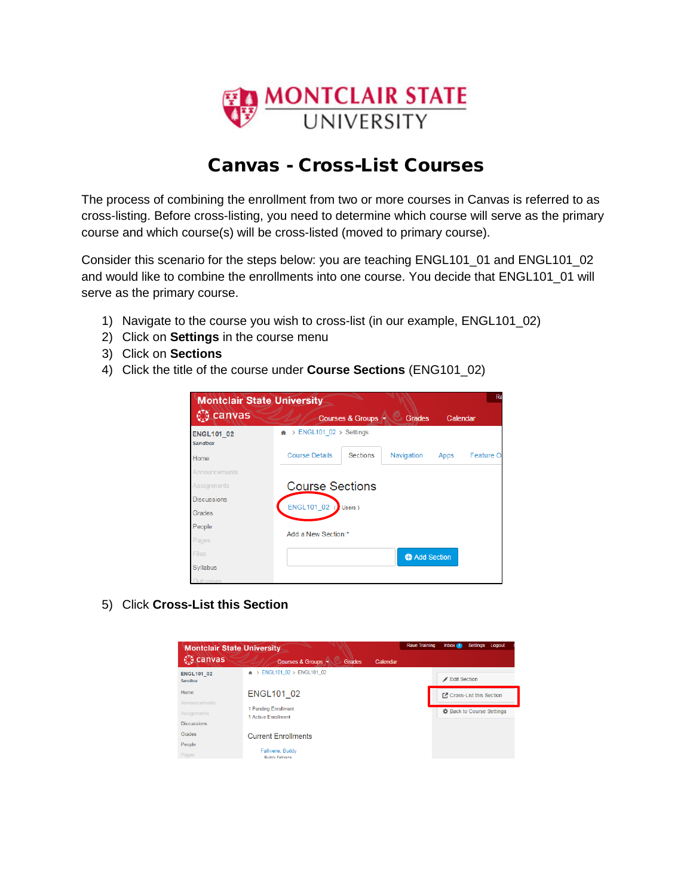

## Canvas - Cross-List Courses

The process of combining the enrollment from two or more courses in Canvas is referred to as cross-listing. Before cross-listing, you need to determine which course will serve as the primary course and which course(s) will be cross-listed (moved to primary course).

Consider this scenario for the steps below: you are teaching ENGL101\_01 and ENGL101\_02 and would like to combine the enrollments into one course. You decide that ENGL101\_01 will serve as the primary course.

- 1) Navigate to the course you wish to cross-list (in our example, ENGL101\_02)
- 2) Click on **Settings** in the course menu
- 3) Click on **Sections**
- 4) Click the title of the course under **Course Sections** (ENG101\_02)



5) Click **Cross-List this Section**